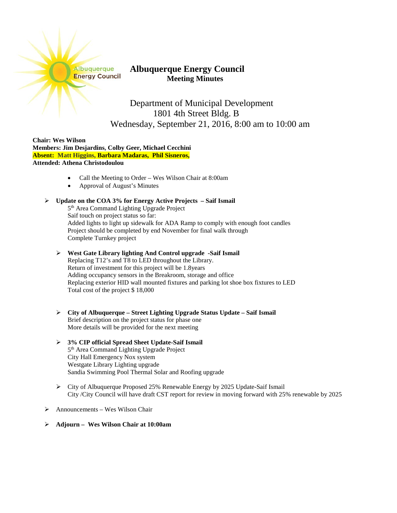Albuquerque **Energy Council** 

## **Albuquerque Energy Council Meeting Minutes**

Department of Municipal Development 1801 4th Street Bldg. B Wednesday, September 21, 2016, 8:00 am to 10:00 am

**Chair: Wes Wilson Members: Jim Desjardins, Colby Geer, Michael Cecchini Absent: Matt Higgins, Barbara Madaras, Phil Sisneros, Attended: Athena Christodoulou** 

- Call the Meeting to Order Wes Wilson Chair at 8:00am
- Approval of August's Minutes
- **Update on the COA 3% for Energy Active Projects – Saif Ismail** 5th Area Command Lighting Upgrade Project Saif touch on project status so far: Added lights to light up sidewalk for ADA Ramp to comply with enough foot candles Project should be completed by end November for final walk through Complete Turnkey project
	- **West Gate Library lighting And Control upgrade -Saif Ismail**  Replacing T12's and T8 to LED throughout the Library. Return of investment for this project will be 1.8years Adding occupancy sensors in the Breakroom, storage and office Replacing exterior HID wall mounted fixtures and parking lot shoe box fixtures to LED Total cost of the project \$ 18,000
	- **City of Albuquerque – Street Lighting Upgrade Status Update – Saif Ismail**  Brief description on the project status for phase one More details will be provided for the next meeting
	- **3% CIP official Spread Sheet Update-Saif Ismail** 5<sup>th</sup> Area Command Lighting Upgrade Project City Hall Emergency Nox system Westgate Library Lighting upgrade Sandia Swimming Pool Thermal Solar and Roofing upgrade
	- City of Albuquerque Proposed 25% Renewable Energy by 2025 Update-Saif Ismail City /City Council will have draft CST report for review in moving forward with 25% renewable by 2025
- $\triangleright$  Announcements Wes Wilson Chair
- **Adjourn – Wes Wilson Chair at 10:00am**